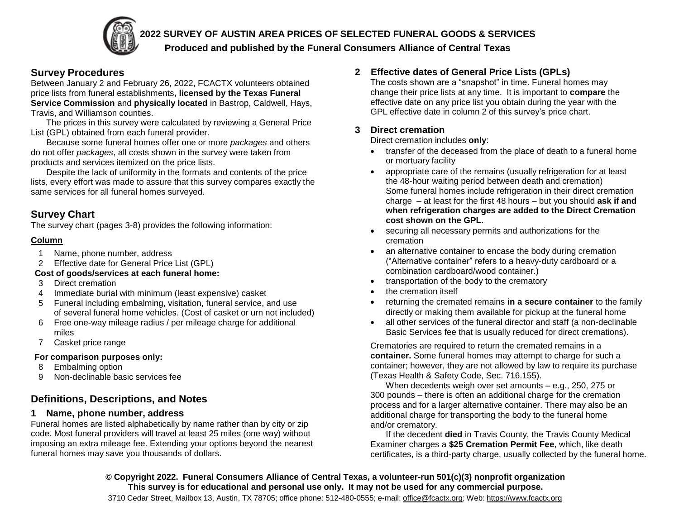## **2022 SURVEY OF AUSTIN AREA PRICES OF SELECTED FUNERAL GOODS & SERVICES**

#### **Produced and published by the Funeral Consumers Alliance of Central Texas**

# **Survey Procedures**

Between January 2 and February 26, 2022, FCACTX volunteers obtained price lists from funeral establishments**, licensed by the Texas Funeral Service Commission** and **physically located** in Bastrop, Caldwell, Hays, Travis, and Williamson counties.

The prices in this survey were calculated by reviewing a General Price List (GPL) obtained from each funeral provider.

Because some funeral homes offer one or more *packages* and others do not offer *packages*, all costs shown in the survey were taken from products and services itemized on the price lists.

Despite the lack of uniformity in the formats and contents of the price lists, every effort was made to assure that this survey compares exactly the same services for all funeral homes surveyed.

# **Survey Chart**

The survey chart (pages 3-8) provides the following information:

#### **Column**

- 1 Name, phone number, address
- 2 Effective date for General Price List (GPL)

#### **Cost of goods/services at each funeral home:**

- 3 Direct cremation
- 4 Immediate burial with minimum (least expensive) casket
- 5 Funeral including embalming, visitation, funeral service, and use of several funeral home vehicles. (Cost of casket or urn not included)
- 6 Free one-way mileage radius / per mileage charge for additional miles
- 7 Casket price range

#### **For comparison purposes only:**

- 8 Embalming option
- 9 Non-declinable basic services fee

# **Definitions, Descriptions, and Notes**

# **1 Name, phone number, address**

Funeral homes are listed alphabetically by name rather than by city or zip code. Most funeral providers will travel at least 25 miles (one way) without imposing an extra mileage fee. Extending your options beyond the nearest funeral homes may save you thousands of dollars.

# **2 Effective dates of General Price Lists (GPLs)**

The costs shown are a "snapshot" in time. Funeral homes may change their price lists at any time. It is important to **compare** the effective date on any price list you obtain during the year with the GPL effective date in column 2 of this survey's price chart.

# **3 Direct cremation**

Direct cremation includes **only**:

- transfer of the deceased from the place of death to a funeral home or mortuary facility
- appropriate care of the remains (usually refrigeration for at least the 48-hour waiting period between death and cremation) Some funeral homes include refrigeration in their direct cremation charge – at least for the first 48 hours – but you should **ask if and when refrigeration charges are added to the Direct Cremation cost shown on the GPL.**
- securing all necessary permits and authorizations for the cremation
- an alternative container to encase the body during cremation ("Alternative container" refers to a heavy-duty cardboard or a combination cardboard/wood container.)
- transportation of the body to the crematory
- the cremation itself
- returning the cremated remains **in a secure container** to the family directly or making them available for pickup at the funeral home
- all other services of the funeral director and staff (a non-declinable Basic Services fee that is usually reduced for direct cremations).

Crematories are required to return the cremated remains in a **container.** Some funeral homes may attempt to charge for such a container; however, they are not allowed by law to require its purchase (Texas Health & Safety Code, Sec. 716.155).

When decedents weigh over set amounts – e.g., 250, 275 or 300 pounds – there is often an additional charge for the cremation process and for a larger alternative container. There may also be an additional charge for transporting the body to the funeral home and/or crematory.

If the decedent **died** in Travis County, the Travis County Medical Examiner charges a **\$25 Cremation Permit Fee**, which, like death certificates, is a third-party charge, usually collected by the funeral home.

**© Copyright 2022. Funeral Consumers Alliance of Central Texas, a volunteer-run 501(c)(3) nonprofit organization This survey is for educational and personal use only. It may not be used for any commercial purpose.**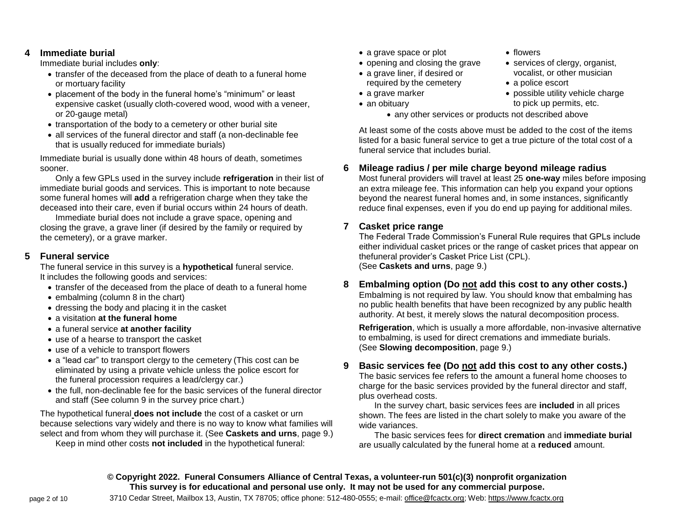#### **4 Immediate burial**

Immediate burial includes **only**:

- transfer of the deceased from the place of death to a funeral home or mortuary facility
- placement of the body in the funeral home's "minimum" or least expensive casket (usually cloth-covered wood, wood with a veneer, or 20-gauge metal)
- transportation of the body to a cemetery or other burial site
- all services of the funeral director and staff (a non-declinable fee that is usually reduced for immediate burials)

Immediate burial is usually done within 48 hours of death, sometimes sooner.

Only a few GPLs used in the survey include **refrigeration** in their list of immediate burial goods and services. This is important to note because some funeral homes will **add** a refrigeration charge when they take the deceased into their care, even if burial occurs within 24 hours of death.

Immediate burial does not include a grave space, opening and closing the grave, a grave liner (if desired by the family or required by the cemetery), or a grave marker.

#### **5 Funeral service**

The funeral service in this survey is a **hypothetical** funeral service. It includes the following goods and services:

- transfer of the deceased from the place of death to a funeral home
- embalming (column 8 in the chart)
- dressing the body and placing it in the casket
- a visitation **at the funeral home**
- a funeral service **at another facility**
- use of a hearse to transport the casket
- use of a vehicle to transport flowers
- a "lead car" to transport clergy to the cemetery (This cost can be eliminated by using a private vehicle unless the police escort for the funeral procession requires a lead/clergy car.)
- the full, non-declinable fee for the basic services of the funeral director and staff (See column 9 in the survey price chart.)

The hypothetical funeral **does not include** the cost of a casket or urn because selections vary widely and there is no way to know what families will select and from whom they will purchase it. (See **Caskets and urns**, page 9.)

Keep in mind other costs **not included** in the hypothetical funeral:

- a grave space or plot
- opening and closing the grave
- a grave liner, if desired or required by the cemetery
- a grave marker
- an obituary
- flowers
- services of clergy, organist, vocalist, or other musician
- a police escort
- possible utility vehicle charge to pick up permits, etc.
- any other services or products not described above

At least some of the costs above must be added to the cost of the items listed for a basic funeral service to get a true picture of the total cost of a funeral service that includes burial.

# **6 Mileage radius / per mile charge beyond mileage radius**

Most funeral providers will travel at least 25 **one-way** miles before imposing an extra mileage fee. This information can help you expand your options beyond the nearest funeral homes and, in some instances, significantly reduce final expenses, even if you do end up paying for additional miles.

#### **7 Casket price range**

The Federal Trade Commission's Funeral Rule requires that GPLs include either individual casket prices or the range of casket prices that appear on thefuneral provider's Casket Price List (CPL). (See **Caskets and urns**, page 9.)

# **8 Embalming option (Do not add this cost to any other costs.)**

Embalming is not required by law. You should know that embalming has no public health benefits that have been recognized by any public health authority. At best, it merely slows the natural decomposition process.

**Refrigeration**, which is usually a more affordable, non-invasive alternative to embalming, is used for direct cremations and immediate burials. (See **Slowing decomposition**, page 9.)

# **9 Basic services fee (Do not add this cost to any other costs.)**

The basic services fee refers to the amount a funeral home chooses to charge for the basic services provided by the funeral director and staff, plus overhead costs.

In the survey chart, basic services fees are **included** in all prices shown. The fees are listed in the chart solely to make you aware of the wide variances.

The basic services fees for **direct cremation** and **immediate burial** are usually calculated by the funeral home at a **reduced** amount.

**© Copyright 2022. Funeral Consumers Alliance of Central Texas, a volunteer-run 501(c)(3) nonprofit organization This survey is for educational and personal use only. It may not be used for any commercial purpose.**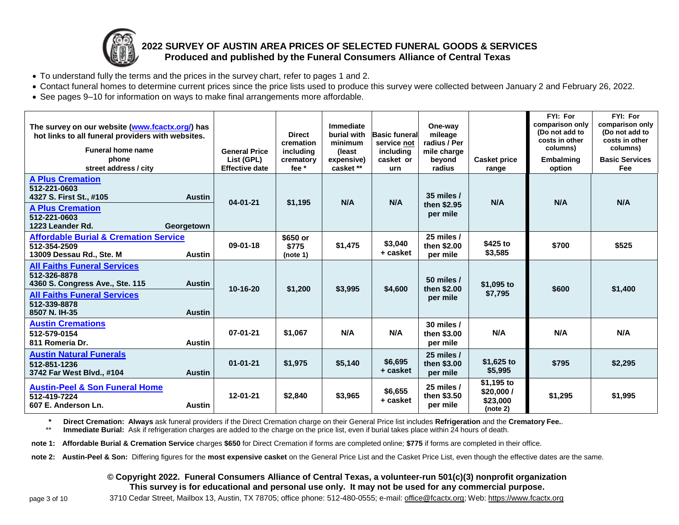

# **2022 SURVEY OF AUSTIN AREA PRICES OF SELECTED FUNERAL GOODS & SERVICES Produced and published by the Funeral Consumers Alliance of Central Texas**

- To understand fully the terms and the prices in the survey chart, refer to pages 1 and 2.
- Contact funeral homes to determine current prices since the price lists used to produce this survey were collected between January 2 and February 26, 2022.
- See pages 9–10 for information on ways to make final arrangements more affordable.

| The survey on our website (www.fcactx.org/) has<br>hot links to all funeral providers with websites.<br><b>Funeral home name</b><br>phone<br>street address / city |                                | <b>General Price</b><br>List (GPL)<br><b>Effective date</b> | <b>Direct</b><br>cremation<br>including<br>crematory<br>fee $*$ | Immediate<br>burial with<br>minimum<br>(least)<br>expensive)<br>casket ** | <b>Basic funeral</b><br>service not<br>including<br>casket or<br>urn | One-way<br>mileage<br>radius / Per<br>mile charge<br>beyond<br>radius | <b>Casket price</b><br>range                      | FYI: For<br>comparison only<br>(Do not add to<br>costs in other<br>columns)<br><b>Embalming</b><br>option | FYI: For<br>comparison only<br>(Do not add to<br>costs in other<br>columns)<br><b>Basic Services</b><br>Fee |
|--------------------------------------------------------------------------------------------------------------------------------------------------------------------|--------------------------------|-------------------------------------------------------------|-----------------------------------------------------------------|---------------------------------------------------------------------------|----------------------------------------------------------------------|-----------------------------------------------------------------------|---------------------------------------------------|-----------------------------------------------------------------------------------------------------------|-------------------------------------------------------------------------------------------------------------|
| <b>A Plus Cremation</b><br>512-221-0603<br>4327 S. First St., #105<br><b>A Plus Cremation</b><br>512-221-0603<br>1223 Leander Rd.                                  | <b>Austin</b><br>Georgetown    | $04 - 01 - 21$                                              | \$1,195                                                         | N/A                                                                       | N/A                                                                  | 35 miles $/$<br>then \$2.95<br>per mile                               | N/A                                               | N/A                                                                                                       | N/A                                                                                                         |
| <b>Affordable Burial &amp; Cremation Service</b><br>512-354-2509<br>13009 Dessau Rd., Ste. M                                                                       | <b>Austin</b>                  | $09 - 01 - 18$                                              | \$650 or<br>\$775<br>(note 1)                                   | \$1,475                                                                   | \$3,040<br>+ casket                                                  | 25 miles /<br>then \$2.00<br>per mile                                 | \$425 to<br>\$3,585                               | \$700                                                                                                     | \$525                                                                                                       |
| <b>All Faiths Funeral Services</b><br>512-326-8878<br>4360 S. Congress Ave., Ste. 115<br><b>All Faiths Funeral Services</b><br>512-339-8878                        | <b>Austin</b>                  | 10-16-20                                                    | \$1,200                                                         | \$3,995                                                                   | \$4.600                                                              | 50 miles /<br>then \$2.00<br>per mile                                 | \$1,095 to<br>\$7,795                             | \$600                                                                                                     | \$1,400                                                                                                     |
| 8507 N. IH-35<br><b>Austin Cremations</b><br>512-579-0154<br>811 Romeria Dr.                                                                                       | <b>Austin</b><br><b>Austin</b> | $07 - 01 - 21$                                              | \$1,067                                                         | N/A                                                                       | N/A                                                                  | 30 miles /<br>then \$3.00<br>per mile                                 | N/A                                               | N/A                                                                                                       | N/A                                                                                                         |
| <b>Austin Natural Funerals</b><br>512-851-1236<br>3742 Far West Blvd., #104                                                                                        | <b>Austin</b>                  | $01 - 01 - 21$                                              | \$1,975                                                         | \$5,140                                                                   | \$6,695<br>+ casket                                                  | 25 miles /<br>then \$3.00<br>per mile                                 | \$1,625 to<br>\$5,995                             | \$795                                                                                                     | \$2,295                                                                                                     |
| <b>Austin-Peel &amp; Son Funeral Home</b><br>512-419-7224<br>607 E. Anderson Ln.                                                                                   | <b>Austin</b>                  | $12 - 01 - 21$                                              | \$2,840                                                         | \$3,965                                                                   | \$6,655<br>+ casket                                                  | 25 miles /<br>then \$3.50<br>per mile                                 | $$1,195$ to<br>\$20,000 /<br>\$23,000<br>(note 2) | \$1,295                                                                                                   | \$1,995                                                                                                     |

**\* Direct Cremation: Always** ask funeral providers if the Direct Cremation charge on their General Price list includes **Refrigeration** and the **Crematory Fee.**.

\*\* **Immediate Burial:** Ask if refrigeration charges are added to the charge on the price list, even if burial takes place within 24 hours of death.

**note 1: Affordable Burial & Cremation Service** charges **\$650** for Direct Cremation if forms are completed online; **\$775** if forms are completed in their office.

**note 2: Austin-Peel & Son:** Differing figures for the **most expensive casket** on the General Price List and the Casket Price List, even though the effective dates are the same.

#### **© Copyright 2022. Funeral Consumers Alliance of Central Texas, a volunteer-run 501(c)(3) nonprofit organization This survey is for educational and personal use only. It may not be used for any commercial purpose.**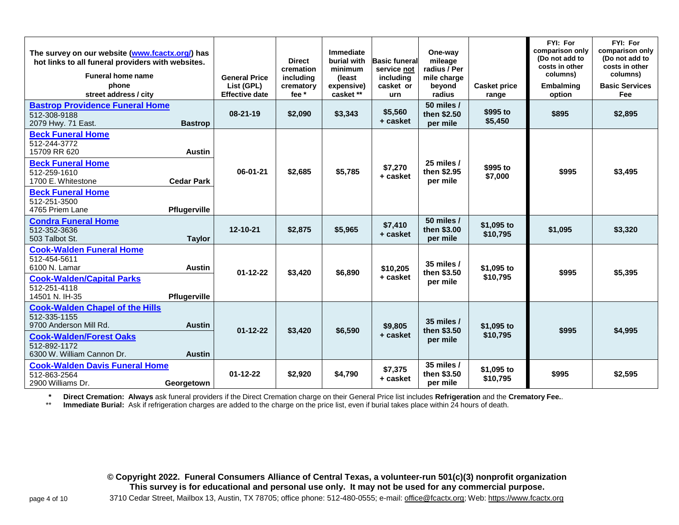| The survey on our website (www.fcactx.org/) has<br>hot links to all funeral providers with websites.<br><b>Funeral home name</b><br>phone<br>street address / city                        |                                                    | <b>General Price</b><br>List (GPL)<br><b>Effective date</b> | <b>Direct</b><br>cremation<br>including<br>crematory<br>fee * | Immediate<br>burial with<br>minimum<br>(least)<br>expensive)<br>casket ** | <b>Basic funeral</b><br>service not<br>including<br>casket or<br>urn | One-way<br>mileage<br>radius / Per<br>mile charge<br>beyond<br>radius | <b>Casket price</b><br>range | FYI: For<br>comparison only<br>(Do not add to<br>costs in other<br>columns)<br>Embalming<br>option | FYI: For<br>comparison only<br>(Do not add to<br>costs in other<br>columns)<br><b>Basic Services</b><br><b>Fee</b> |
|-------------------------------------------------------------------------------------------------------------------------------------------------------------------------------------------|----------------------------------------------------|-------------------------------------------------------------|---------------------------------------------------------------|---------------------------------------------------------------------------|----------------------------------------------------------------------|-----------------------------------------------------------------------|------------------------------|----------------------------------------------------------------------------------------------------|--------------------------------------------------------------------------------------------------------------------|
| <b>Bastrop Providence Funeral Home</b><br>512-308-9188<br>2079 Hwy. 71 East.                                                                                                              | <b>Bastrop</b>                                     | 08-21-19                                                    | \$2,090                                                       | \$3,343                                                                   | \$5,560<br>+ casket                                                  | 50 miles /<br>then \$2.50<br>per mile                                 | \$995 to<br>\$5,450          | \$895                                                                                              | \$2,895                                                                                                            |
| <b>Beck Funeral Home</b><br>512-244-3772<br>15709 RR 620<br><b>Beck Funeral Home</b><br>512-259-1610<br>1700 E. Whitestone<br><b>Beck Funeral Home</b><br>512-251-3500<br>4765 Priem Lane | <b>Austin</b><br><b>Cedar Park</b><br>Pflugerville | 06-01-21                                                    | \$2,685                                                       | \$5,785                                                                   | \$7,270<br>+ casket                                                  | 25 miles /<br>then \$2.95<br>per mile                                 | \$995 to<br>\$7,000          | \$995                                                                                              | \$3,495                                                                                                            |
| <b>Condra Funeral Home</b><br>512-352-3636<br>503 Talbot St.                                                                                                                              | <b>Taylor</b>                                      | 12-10-21                                                    | \$2,875                                                       | \$5,965                                                                   | \$7,410<br>+ casket                                                  | 50 miles /<br>then \$3.00<br>per mile                                 | \$1,095 to<br>\$10,795       | \$1,095                                                                                            | \$3,320                                                                                                            |
| <b>Cook-Walden Funeral Home</b><br>512-454-5611<br>6100 N. Lamar<br><b>Cook-Walden/Capital Parks</b><br>512-251-4118<br>14501 N. IH-35                                                    | <b>Austin</b><br>Pflugerville                      | $01 - 12 - 22$                                              | \$3,420                                                       | \$6,890                                                                   | \$10,205<br>+ casket                                                 | 35 miles $/$<br>then \$3.50<br>per mile                               | \$1,095 to<br>\$10,795       | \$995                                                                                              | \$5,395                                                                                                            |
| <b>Cook-Walden Chapel of the Hills</b><br>512-335-1155<br>9700 Anderson Mill Rd.<br><b>Cook-Walden/Forest Oaks</b><br>512-892-1172<br>6300 W. William Cannon Dr.                          | <b>Austin</b><br><b>Austin</b>                     | $01 - 12 - 22$                                              | \$3,420                                                       | \$6,590                                                                   | \$9,805<br>+ casket                                                  | 35 miles /<br>then \$3.50<br>per mile                                 | \$1,095 to<br>\$10,795       | \$995                                                                                              | \$4,995                                                                                                            |
| <b>Cook-Walden Davis Funeral Home</b><br>512-863-2564<br>2900 Williams Dr.                                                                                                                | Georgetown                                         | $01 - 12 - 22$                                              | \$2,920                                                       | \$4,790                                                                   | \$7,375<br>+ casket                                                  | 35 miles /<br>then \$3.50<br>per mile                                 | \$1,095 to<br>\$10,795       | \$995                                                                                              | \$2,595                                                                                                            |

**\* Direct Cremation: Always** ask funeral providers if the Direct Cremation charge on their General Price list includes **Refrigeration** and the **Crematory Fee.**.

Immediate Burial: Ask if refrigeration charges are added to the charge on the price list, even if burial takes place within 24 hours of death.

**© Copyright 2022. Funeral Consumers Alliance of Central Texas, a volunteer-run 501(c)(3) nonprofit organization This survey is for educational and personal use only. It may not be used for any commercial purpose.**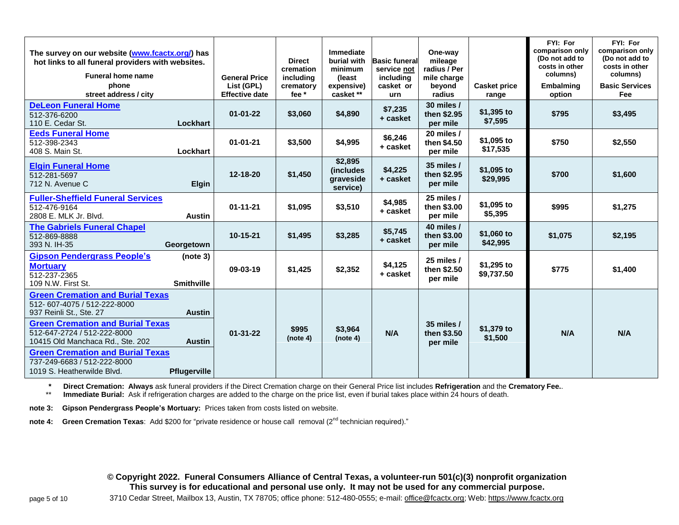| The survey on our website (www.fcactx.org/) has<br>hot links to all funeral providers with websites.<br><b>Funeral home name</b><br>phone |                               | <b>General Price</b><br>List (GPL) | <b>Direct</b><br>cremation<br>including<br>crematory | Immediate<br>burial with<br>minimum<br>(least)<br>expensive) | <b>Basic funeral</b><br>service not<br>including<br>casket or | One-way<br>mileage<br>radius / Per<br>mile charge<br>beyond | <b>Casket price</b>      | FYI: For<br>comparison only<br>(Do not add to<br>costs in other<br>columns)<br>Embalming | FYI: For<br>comparison only<br>(Do not add to<br>costs in other<br>columns)<br><b>Basic Services</b> |
|-------------------------------------------------------------------------------------------------------------------------------------------|-------------------------------|------------------------------------|------------------------------------------------------|--------------------------------------------------------------|---------------------------------------------------------------|-------------------------------------------------------------|--------------------------|------------------------------------------------------------------------------------------|------------------------------------------------------------------------------------------------------|
| street address / city                                                                                                                     |                               | <b>Effective date</b>              | fee *                                                | casket **                                                    | urn                                                           | radius                                                      | range                    | option                                                                                   | Fee                                                                                                  |
| <b>DeLeon Funeral Home</b><br>512-376-6200<br>110 E. Cedar St.                                                                            | Lockhart                      | $01 - 01 - 22$                     | \$3,060                                              | \$4,890                                                      | \$7,235<br>+ casket                                           | 30 miles /<br>then \$2.95<br>per mile                       | $$1,395$ to<br>\$7,595   | \$795                                                                                    | \$3,495                                                                                              |
| <b>Eeds Funeral Home</b><br>512-398-2343<br>408 S. Main St.                                                                               | Lockhart                      | $01 - 01 - 21$                     | \$3,500                                              | \$4,995                                                      | \$6,246<br>+ casket                                           | 20 miles /<br>then \$4.50<br>per mile                       | \$1,095 to<br>\$17,535   | \$750                                                                                    | \$2,550                                                                                              |
| <b>Elgin Funeral Home</b><br>512-281-5697<br>712 N. Avenue C                                                                              | <b>Elgin</b>                  | $12 - 18 - 20$                     | \$1,450                                              | \$2,895<br><i>(includes)</i><br>graveside<br>service)        | \$4,225<br>+ casket                                           | 35 miles $/$<br>then \$2.95<br>per mile                     | \$1,095 to<br>\$29,995   | \$700                                                                                    | \$1,600                                                                                              |
| <b>Fuller-Sheffield Funeral Services</b><br>512-476-9164<br>2808 E. MLK Jr. Blvd.                                                         | <b>Austin</b>                 | $01 - 11 - 21$                     | \$1,095                                              | \$3,510                                                      | \$4,985<br>+ casket                                           | 25 miles /<br>then \$3.00<br>per mile                       | \$1,095 to<br>\$5,395    | \$995                                                                                    | \$1,275                                                                                              |
| <b>The Gabriels Funeral Chapel</b><br>512-869-8888<br>393 N. IH-35                                                                        | Georgetown                    | 10-15-21                           | \$1,495                                              | \$3,285                                                      | \$5,745<br>+ casket                                           | 40 miles /<br>then \$3.00<br>per mile                       | \$1,060 to<br>\$42,995   | \$1,075                                                                                  | \$2,195                                                                                              |
| <b>Gipson Pendergrass People's</b><br><b>Mortuary</b><br>512-237-2365<br>109 N.W. First St.                                               | (note 3)<br><b>Smithville</b> | 09-03-19                           | \$1,425                                              | \$2,352                                                      | \$4,125<br>+ casket                                           | 25 miles $/$<br>then \$2.50<br>per mile                     | \$1,295 to<br>\$9,737.50 | \$775                                                                                    | \$1,400                                                                                              |
| <b>Green Cremation and Burial Texas</b><br>512-607-4075 / 512-222-8000<br>937 Reinli St., Ste. 27                                         | <b>Austin</b>                 |                                    |                                                      |                                                              |                                                               |                                                             |                          |                                                                                          |                                                                                                      |
| <b>Green Cremation and Burial Texas</b><br>512-647-2724 / 512-222-8000<br>10415 Old Manchaca Rd., Ste. 202                                | <b>Austin</b>                 | $01 - 31 - 22$                     | \$995<br>(note 4)                                    | \$3,964<br>(note 4)                                          | N/A                                                           | 35 miles /<br>then \$3.50<br>per mile                       | \$1,379 to<br>\$1,500    | N/A                                                                                      | N/A                                                                                                  |
| <b>Green Cremation and Burial Texas</b><br>737-249-6683 / 512-222-8000<br>1019 S. Heatherwilde Blvd.                                      | <b>Pflugerville</b>           |                                    |                                                      |                                                              |                                                               |                                                             |                          |                                                                                          |                                                                                                      |

**\* Direct Cremation: Always** ask funeral providers if the Direct Cremation charge on their General Price list includes **Refrigeration** and the **Crematory Fee.**.

Immediate Burial: Ask if refrigeration charges are added to the charge on the price list, even if burial takes place within 24 hours of death.

**note 3: Gipson Pendergrass People's Mortuary:** Prices taken from costs listed on website.

**note 4:** Green Cremation Texas: Add \$200 for "private residence or house call removal (2<sup>nd</sup> technician required)."

**© Copyright 2022. Funeral Consumers Alliance of Central Texas, a volunteer-run 501(c)(3) nonprofit organization This survey is for educational and personal use only. It may not be used for any commercial purpose.**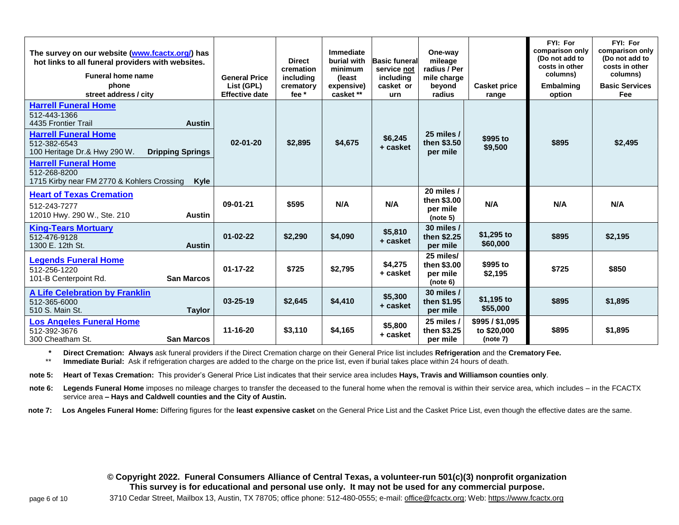| The survey on our website (www.fcactx.org/) has<br>hot links to all funeral providers with websites.<br><b>Funeral home name</b><br>phone<br>street address / city                                                                                                                                 | <b>General Price</b><br>List (GPL)<br><b>Effective date</b> | <b>Direct</b><br>cremation<br>includina<br>crematory<br>fee $*$ | <b>Immediate</b><br>burial with<br>minimum<br>(least)<br>expensive)<br>casket ** | <b>Basic funeral</b><br>service not<br>including<br>casket or<br>urn | One-way<br>mileage<br>radius / Per<br>mile charge<br>beyond<br>radius | <b>Casket price</b><br>range               | FYI: For<br>comparison only<br>(Do not add to<br>costs in other<br>columns)<br><b>Embalming</b><br>option | FYI: For<br>comparison only<br>(Do not add to<br>costs in other<br>columns)<br><b>Basic Services</b><br>Fee |
|----------------------------------------------------------------------------------------------------------------------------------------------------------------------------------------------------------------------------------------------------------------------------------------------------|-------------------------------------------------------------|-----------------------------------------------------------------|----------------------------------------------------------------------------------|----------------------------------------------------------------------|-----------------------------------------------------------------------|--------------------------------------------|-----------------------------------------------------------------------------------------------------------|-------------------------------------------------------------------------------------------------------------|
| <b>Harrell Funeral Home</b><br>512-443-1366<br>4435 Frontier Trail<br><b>Austin</b><br><b>Harrell Funeral Home</b><br>512-382-6543<br>100 Heritage Dr.& Hwy 290 W.<br><b>Dripping Springs</b><br><b>Harrell Funeral Home</b><br>512-268-8200<br>1715 Kirby near FM 2770 & Kohlers Crossing<br>Kyle | $02 - 01 - 20$                                              | \$2,895                                                         | \$4,675                                                                          | \$6,245<br>+ casket                                                  | 25 miles $/$<br>then \$3.50<br>per mile                               | \$995 to<br>\$9,500                        | \$895                                                                                                     | \$2,495                                                                                                     |
| <b>Heart of Texas Cremation</b><br>512-243-7277<br>12010 Hwy. 290 W., Ste. 210<br><b>Austin</b>                                                                                                                                                                                                    | $09-01-21$                                                  | \$595                                                           | N/A                                                                              | N/A                                                                  | 20 miles $/$<br>then \$3.00<br>per mile<br>(note 5)                   | N/A                                        | N/A                                                                                                       | N/A                                                                                                         |
| <b>King-Tears Mortuary</b><br>512-476-9128<br>1300 E. 12th St.<br><b>Austin</b>                                                                                                                                                                                                                    | $01 - 02 - 22$                                              | \$2,290                                                         | \$4,090                                                                          | \$5,810<br>+ casket                                                  | 30 miles $/$<br>then \$2.25<br>per mile                               | \$1,295 to<br>\$60,000                     | \$895                                                                                                     | \$2,195                                                                                                     |
| <b>Legends Funeral Home</b><br>512-256-1220<br><b>San Marcos</b><br>101-B Centerpoint Rd.                                                                                                                                                                                                          | $01 - 17 - 22$                                              | \$725                                                           | \$2,795                                                                          | \$4,275<br>+ casket                                                  | 25 miles/<br>then \$3.00<br>per mile<br>(note 6)                      | \$995 to<br>\$2,195                        | \$725                                                                                                     | \$850                                                                                                       |
| <b>A Life Celebration by Franklin</b><br>512-365-6000<br>510 S. Main St.<br><b>Taylor</b>                                                                                                                                                                                                          | $03 - 25 - 19$                                              | \$2,645                                                         | \$4,410                                                                          | \$5,300<br>+ casket                                                  | 30 miles $/$<br>then \$1.95<br>per mile                               | \$1,195 to<br>\$55,000                     | \$895                                                                                                     | \$1,895                                                                                                     |
| <b>Los Angeles Funeral Home</b><br>512-392-3676<br>300 Cheatham St.<br><b>San Marcos</b>                                                                                                                                                                                                           | 11-16-20                                                    | \$3,110                                                         | \$4,165                                                                          | \$5,800<br>+ casket                                                  | 25 miles /<br>then \$3.25<br>per mile                                 | \$995 / \$1,095<br>to \$20,000<br>(note 7) | \$895                                                                                                     | \$1,895                                                                                                     |

**\* Direct Cremation: Always** ask funeral providers if the Direct Cremation charge on their General Price list includes **Refrigeration** and the **Crematory Fee. Immediate Burial:** Ask if refrigeration charges are added to the charge on the price list, even if burial takes place within 24 hours of death.

**note 5: Heart of Texas Cremation:** This provider's General Price List indicates that their service area includes **Hays, Travis and Williamson counties only**.

**note 6: Legends Funeral Home** imposes no mileage charges to transfer the deceased to the funeral home when the removal is within their service area, which includes – in the FCACTX service area **– Hays and Caldwell counties and the City of Austin.**

**note 7: Los Angeles Funeral Home:** Differing figures for the **least expensive casket** on the General Price List and the Casket Price List, even though the effective dates are the same.

**© Copyright 2022. Funeral Consumers Alliance of Central Texas, a volunteer-run 501(c)(3) nonprofit organization This survey is for educational and personal use only. It may not be used for any commercial purpose.**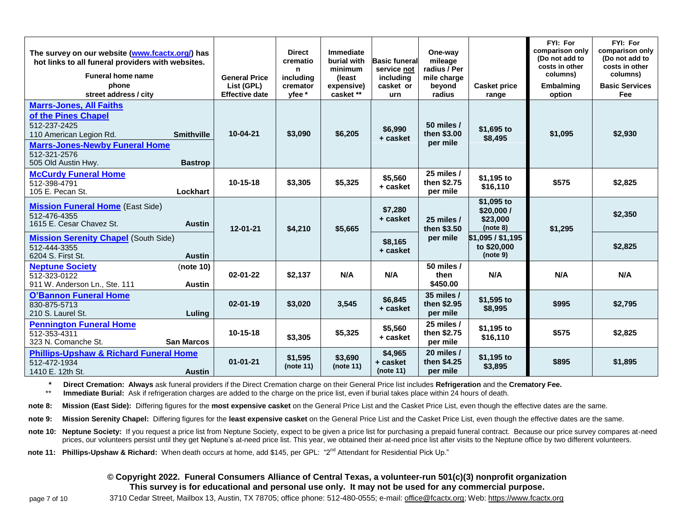| The survey on our website (www.fcactx.org/) has<br>hot links to all funeral providers with websites.<br><b>Funeral home name</b><br>phone                                        |                                     | <b>General Price</b><br>List (GPL) | <b>Direct</b><br>crematio<br>n<br>includina<br>cremator | Immediate<br>burial with<br>minimum<br>(least<br>expensive) | <b>Basic funeral</b><br>service not<br>including<br>casket or | One-way<br>mileage<br>radius / Per<br>mile charge<br>beyond | <b>Casket price</b>                              | FYI: For<br>comparison only<br>(Do not add to<br>costs in other<br>columns)<br><b>Embalming</b> | FYI: For<br>comparison only<br>(Do not add to<br>costs in other<br>columns)<br><b>Basic Services</b> |
|----------------------------------------------------------------------------------------------------------------------------------------------------------------------------------|-------------------------------------|------------------------------------|---------------------------------------------------------|-------------------------------------------------------------|---------------------------------------------------------------|-------------------------------------------------------------|--------------------------------------------------|-------------------------------------------------------------------------------------------------|------------------------------------------------------------------------------------------------------|
| street address / city                                                                                                                                                            |                                     | <b>Effective date</b>              | vfee *                                                  | casket **                                                   | urn                                                           | radius                                                      | range                                            | option                                                                                          | Fee                                                                                                  |
| <b>Marrs-Jones, All Faiths</b><br>of the Pines Chapel<br>512-237-2425<br>110 American Legion Rd.<br><b>Marrs-Jones-Newby Funeral Home</b><br>512-321-2576<br>505 Old Austin Hwy. | <b>Smithville</b><br><b>Bastrop</b> | 10-04-21                           | \$3,090                                                 | \$6,205                                                     | \$6,990<br>+ casket                                           | 50 miles /<br>then \$3.00<br>per mile                       | \$1,695 to<br>\$8,495                            | \$1,095                                                                                         | \$2,930                                                                                              |
| <b>McCurdy Funeral Home</b><br>512-398-4791<br>105 E. Pecan St.                                                                                                                  | Lockhart                            | $10-15-18$                         | \$3,305                                                 | \$5,325                                                     | \$5,560<br>+ casket                                           | 25 miles /<br>then \$2.75<br>per mile                       | \$1,195 to<br>\$16,110                           | \$575                                                                                           | \$2,825                                                                                              |
| <b>Mission Funeral Home</b> (East Side)<br>512-476-4355<br>1615 E. Cesar Chavez St.                                                                                              | <b>Austin</b>                       | $12 - 01 - 21$                     | \$4,210                                                 | \$5,665                                                     | \$7,280<br>+ casket                                           | 25 miles /<br>then \$3.50                                   | \$1,095 to<br>\$20,000 /<br>\$23,000<br>(note 8) | \$1,295                                                                                         | \$2,350                                                                                              |
| <b>Mission Serenity Chapel</b> (South Side)<br>512-444-3355<br>6204 S. First St.                                                                                                 | <b>Austin</b>                       |                                    |                                                         |                                                             | \$8,165<br>+ casket                                           | per mile                                                    | $$1,095/$ \$1,195<br>to \$20,000<br>(note 9)     |                                                                                                 | \$2,825                                                                                              |
| <b>Neptune Society</b><br>512-323-0122<br>911 W. Anderson Ln., Ste. 111                                                                                                          | (note 10)<br><b>Austin</b>          | $02 - 01 - 22$                     | \$2,137                                                 | N/A                                                         | N/A                                                           | 50 miles /<br>then<br>\$450.00                              | N/A                                              | N/A                                                                                             | N/A                                                                                                  |
| <b>O'Bannon Funeral Home</b><br>830-875-5713<br>210 S. Laurel St.                                                                                                                | Luling                              | $02 - 01 - 19$                     | \$3,020                                                 | 3,545                                                       | \$6,845<br>+ casket                                           | 35 miles /<br>then \$2.95<br>per mile                       | \$1,595 to<br>\$8,995                            | \$995                                                                                           | \$2,795                                                                                              |
| <b>Pennington Funeral Home</b><br>512-353-4311<br>323 N. Comanche St.                                                                                                            | <b>San Marcos</b>                   | $10 - 15 - 18$                     | \$3,305                                                 | \$5,325                                                     | \$5,560<br>+ casket                                           | 25 miles $/$<br>then \$2.75<br>per mile                     | \$1,195 to<br>\$16,110                           | \$575                                                                                           | \$2,825                                                                                              |
| <b>Phillips-Upshaw &amp; Richard Funeral Home</b><br>512-472-1934<br>1410 E. 12th St.                                                                                            | <b>Austin</b>                       | $01 - 01 - 21$                     | \$1,595<br>(note 11)                                    | \$3,690<br>(note 11)                                        | \$4,965<br>+ casket<br>(note 11)                              | 20 miles /<br>then \$4.25<br>per mile                       | \$1,195 to<br>\$3,895                            | \$895                                                                                           | \$1,895                                                                                              |

**\* Direct Cremation: Always** ask funeral providers if the Direct Cremation charge on their General Price list includes **Refrigeration** and the **Crematory Fee.**

Immediate Burial: Ask if refrigeration charges are added to the charge on the price list, even if burial takes place within 24 hours of death.

**note 8: Mission (East Side):** Differing figures for the **most expensive casket** on the General Price List and the Casket Price List, even though the effective dates are the same.

**note 9: Mission Serenity Chapel:** Differing figures for the **least expensive casket** on the General Price List and the Casket Price List, even though the effective dates are the same.

**note 10: Neptune Society:** If you request a price list from Neptune Society, expect to be given a price list for purchasing a prepaid funeral contract. Because our price survey compares at-need prices, our volunteers persist until they get Neptune's at-need price list. This year, we obtained their at-need price list after visits to the Neptune office by two different volunteers.

**note 11: Phillips-Upshaw & Richard:** When death occurs at home, add \$145, per GPL: "2nd Attendant for Residential Pick Up."

#### **© Copyright 2022. Funeral Consumers Alliance of Central Texas, a volunteer-run 501(c)(3) nonprofit organization This survey is for educational and personal use only. It may not be used for any commercial purpose.**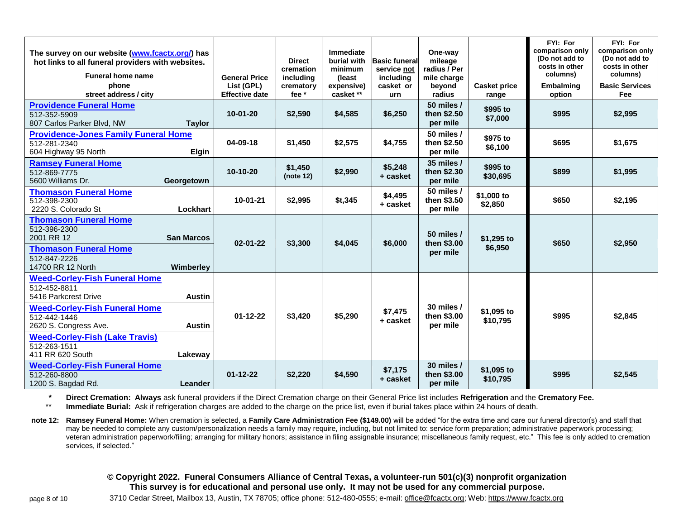| The survey on our website (www.fcactx.org/) has<br>hot links to all funeral providers with websites.<br><b>Funeral home name</b><br>phone<br>street address / city |                   | <b>General Price</b><br>List (GPL)<br><b>Effective date</b> | <b>Direct</b><br>cremation<br>includina<br>crematory<br>fee * | Immediate<br>burial with<br>minimum<br>(least)<br>expensive)<br>casket ** | <b>Basic funeral</b><br>service not<br>includina<br>casket or<br>urn | One-way<br>mileage<br>radius / Per<br>mile charge<br>beyond<br>radius | <b>Casket price</b><br>range | FYI: For<br>comparison only<br>(Do not add to<br>costs in other<br>columns)<br><b>Embalming</b><br>option | FYI: For<br>comparison only<br>(Do not add to<br>costs in other<br>columns)<br><b>Basic Services</b><br>Fee |
|--------------------------------------------------------------------------------------------------------------------------------------------------------------------|-------------------|-------------------------------------------------------------|---------------------------------------------------------------|---------------------------------------------------------------------------|----------------------------------------------------------------------|-----------------------------------------------------------------------|------------------------------|-----------------------------------------------------------------------------------------------------------|-------------------------------------------------------------------------------------------------------------|
| <b>Providence Funeral Home</b><br>512-352-5909<br>807 Carlos Parker Blvd, NW                                                                                       | <b>Taylor</b>     | $10-01-20$                                                  | \$2,590                                                       | \$4,585                                                                   | \$6,250                                                              | 50 miles /<br>then \$2.50<br>per mile                                 | \$995 to<br>\$7,000          | \$995                                                                                                     | \$2,995                                                                                                     |
| <b>Providence-Jones Family Funeral Home</b><br>512-281-2340<br>604 Highway 95 North                                                                                | Elgin             | 04-09-18                                                    | \$1,450                                                       | \$2,575                                                                   | \$4,755                                                              | 50 miles /<br>then \$2.50<br>per mile                                 | \$975 to<br>\$6,100          | \$695                                                                                                     | \$1,675                                                                                                     |
| <b>Ramsey Funeral Home</b><br>512-869-7775<br>5600 Williams Dr.                                                                                                    | Georgetown        | $10-10-20$                                                  | \$1,450<br>(note 12)                                          | \$2,990                                                                   | \$5,248<br>+ casket                                                  | 35 miles /<br>then \$2.30<br>per mile                                 | \$995 to<br>\$30,695         | \$899                                                                                                     | \$1,995                                                                                                     |
| <b>Thomason Funeral Home</b><br>512-398-2300<br>2220 S. Colorado St                                                                                                | Lockhart          | $10-01-21$                                                  | \$2,995                                                       | \$t,345                                                                   | \$4,495<br>+ casket                                                  | 50 miles /<br>then \$3.50<br>per mile                                 | \$1,000 to<br>\$2,850        | \$650                                                                                                     | \$2,195                                                                                                     |
| <b>Thomason Funeral Home</b><br>512-396-2300<br>2001 RR 12                                                                                                         | <b>San Marcos</b> | $02 - 01 - 22$                                              | \$3,300                                                       | \$4,045                                                                   | \$6,000                                                              | 50 miles /<br>then \$3.00                                             | \$1,295 to                   | \$650                                                                                                     | \$2,950                                                                                                     |
| <b>Thomason Funeral Home</b><br>512-847-2226<br>14700 RR 12 North                                                                                                  | Wimberley         |                                                             |                                                               |                                                                           |                                                                      | per mile                                                              | \$6,950                      |                                                                                                           |                                                                                                             |
| <b>Weed-Corley-Fish Funeral Home</b><br>512-452-8811<br>5416 Parkcrest Drive                                                                                       | <b>Austin</b>     |                                                             |                                                               |                                                                           |                                                                      |                                                                       |                              |                                                                                                           |                                                                                                             |
| <b>Weed-Corley-Fish Funeral Home</b><br>512-442-1446<br>2620 S. Congress Ave.                                                                                      | <b>Austin</b>     | $01 - 12 - 22$                                              | \$3,420                                                       | \$5,290                                                                   | \$7,475<br>+ casket                                                  | 30 miles $/$<br>then \$3.00<br>per mile                               | \$1,095 to<br>\$10,795       | \$995                                                                                                     | \$2,845                                                                                                     |
| <b>Weed-Corley-Fish (Lake Travis)</b><br>512-263-1511<br>411 RR 620 South                                                                                          | Lakeway           |                                                             |                                                               |                                                                           |                                                                      |                                                                       |                              |                                                                                                           |                                                                                                             |
| <b>Weed-Corley-Fish Funeral Home</b><br>512-260-8800<br>1200 S. Bagdad Rd.                                                                                         | Leander           | $01 - 12 - 22$                                              | \$2,220                                                       | \$4,590                                                                   | \$7,175<br>+ casket                                                  | 30 miles /<br>then \$3.00<br>per mile                                 | \$1,095 to<br>\$10,795       | \$995                                                                                                     | \$2,545                                                                                                     |

**\* Direct Cremation: Always** ask funeral providers if the Direct Cremation charge on their General Price list includes **Refrigeration** and the **Crematory Fee.**

**Immediate Burial:** Ask if refrigeration charges are added to the charge on the price list, even if burial takes place within 24 hours of death.

note 12: Ramsey Funeral Home: When cremation is selected, a Family Care Administration Fee (\$149.00) will be added "for the extra time and care our funeral director(s) and staff that may be needed to complete any custom/personalization needs a family may require, including, but not limited to: service form preparation; administrative paperwork processing; veteran administration paperwork/filing; arranging for military honors; assistance in filing assignable insurance; miscellaneous family request, etc." This fee is only added to cremation services, if selected."

#### **© Copyright 2022. Funeral Consumers Alliance of Central Texas, a volunteer-run 501(c)(3) nonprofit organization This survey is for educational and personal use only. It may not be used for any commercial purpose.**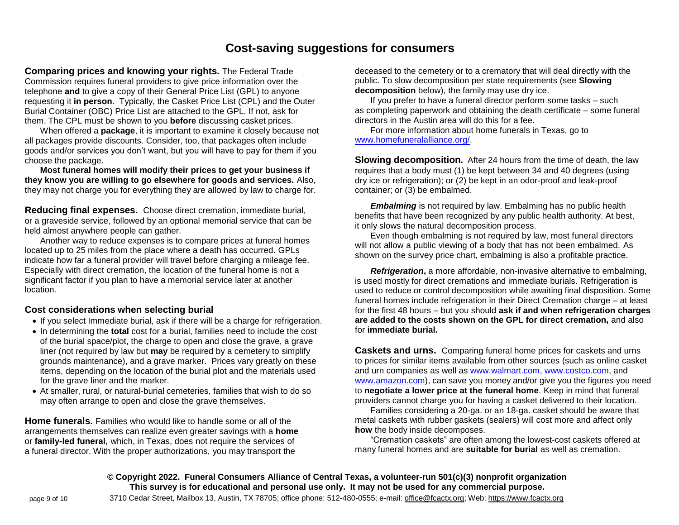# **Cost-saving suggestions for consumers**

**Comparing prices and knowing your rights.** The Federal Trade Commission requires funeral providers to give price information over the telephone **and** to give a copy of their General Price List (GPL) to anyone requesting it **in person**. Typically, the Casket Price List (CPL) and the Outer Burial Container (OBC) Price List are attached to the GPL. If not, ask for them. The CPL must be shown to you **before** discussing casket prices.

When offered a **package**, it is important to examine it closely because not all packages provide discounts. Consider, too, that packages often include goods and/or services you don't want, but you will have to pay for them if you choose the package.

**Most funeral homes will modify their prices to get your business if they know you are willing to go elsewhere for goods and services.** Also, they may not charge you for everything they are allowed by law to charge for.

**Reducing final expenses.** Choose direct cremation, immediate burial, or a graveside service, followed by an optional memorial service that can be held almost anywhere people can gather.

Another way to reduce expenses is to compare prices at funeral homes located up to 25 miles from the place where a death has occurred. GPLs indicate how far a funeral provider will travel before charging a mileage fee. Especially with direct cremation, the location of the funeral home is not a significant factor if you plan to have a memorial service later at another location.

#### **Cost considerations when selecting burial**

- If you select Immediate burial, ask if there will be a charge for refrigeration.
- In determining the **total** cost for a burial, families need to include the cost of the burial space/plot, the charge to open and close the grave, a grave liner (not required by law but **may** be required by a cemetery to simplify grounds maintenance), and a grave marker. Prices vary greatly on these items, depending on the location of the burial plot and the materials used for the grave liner and the marker.
- At smaller, rural, or natural-burial cemeteries, families that wish to do so may often arrange to open and close the grave themselves.

**Home funerals.** Families who would like to handle some or all of the arrangements themselves can realize even greater savings with a **home** or **family-led funeral,** which, in Texas, does not require the services of a funeral director. With the proper authorizations, you may transport the

deceased to the cemetery or to a crematory that will deal directly with the public. To slow decomposition per state requirements (see **Slowing decomposition** below), the family may use dry ice.

If you prefer to have a funeral director perform some tasks – such as completing paperwork and obtaining the death certificate – some funeral directors in the Austin area will do this for a fee.

For more information about home funerals in Texas, go to [www.homefuneralalliance.org/.](http://www.homefuneralalliance.org/)

**Slowing decomposition.** After 24 hours from the time of death, the law requires that a body must (1) be kept between 34 and 40 degrees (using dry ice or refrigeration); or (2) be kept in an odor-proof and leak-proof container; or (3) be embalmed.

*Embalming* is not required by law. Embalming has no public health benefits that have been recognized by any public health authority. At best, it only slows the natural decomposition process.

Even though embalming is not required by law, most funeral directors will not allow a public viewing of a body that has not been embalmed. As shown on the survey price chart, embalming is also a profitable practice.

*Refrigeration*, a more affordable, non-invasive alternative to embalming, is used mostly for direct cremations and immediate burials. Refrigeration is used to reduce or control decomposition while awaiting final disposition. Some funeral homes include refrigeration in their Direct Cremation charge – at least for the first 48 hours – but you should **ask if and when refrigeration charges are added to the costs shown on the GPL for direct cremation,** and also for **immediate burial.**

**Caskets and urns.** Comparing funeral home prices for caskets and urns to prices for similar items available from other sources (such as online casket and urn companies as well as [www.walmart.com,](http://www.walmart.com/) [www.costco.com,](http://www.costco.com/) and [www.amazon.com\)](http://www.amazon.com/), can save you money and/or give you the figures you need to **negotiate a lower price at the funeral home**. Keep in mind that funeral providers cannot charge you for having a casket delivered to their location.

Families considering a 20-ga. or an 18-ga. casket should be aware that metal caskets with rubber gaskets (sealers) will cost more and affect only **how** the body inside decomposes.

"Cremation caskets" are often among the lowest-cost caskets offered at many funeral homes and are **suitable for burial** as well as cremation.

**© Copyright 2022. Funeral Consumers Alliance of Central Texas, a volunteer-run 501(c)(3) nonprofit organization This survey is for educational and personal use only. It may not be used for any commercial purpose.**